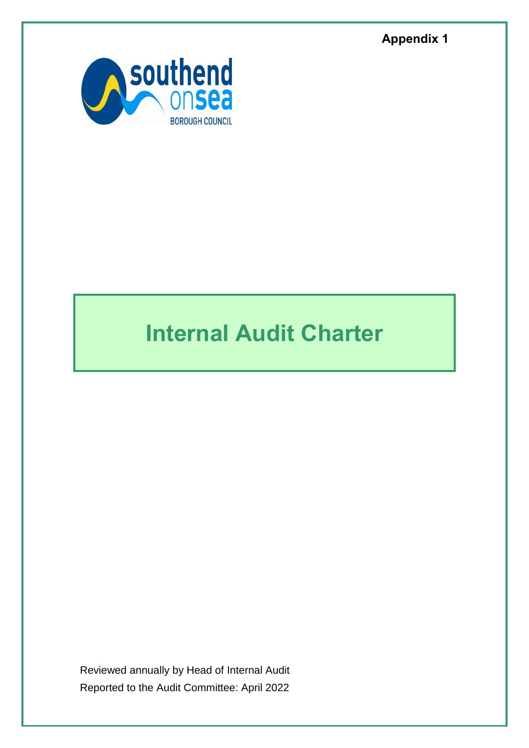**Appendix 1**



# **Internal Audit Charter**

Reviewed annually by Head of Internal Audit Reported to the Audit Committee: April 2022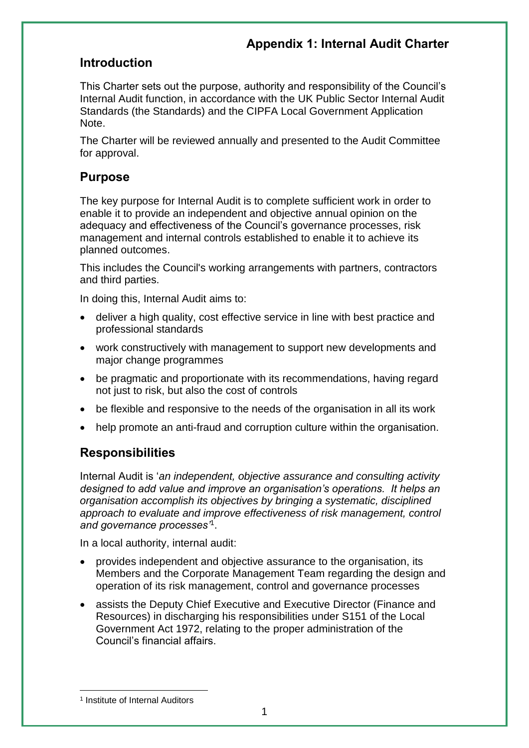## **Introduction**

This Charter sets out the purpose, authority and responsibility of the Council's Internal Audit function, in accordance with the UK Public Sector Internal Audit Standards (the Standards) and the CIPFA Local Government Application Note.

The Charter will be reviewed annually and presented to the Audit Committee for approval.

## **Purpose**

The key purpose for Internal Audit is to complete sufficient work in order to enable it to provide an independent and objective annual opinion on the adequacy and effectiveness of the Council's governance processes, risk management and internal controls established to enable it to achieve its planned outcomes.

This includes the Council's working arrangements with partners, contractors and third parties.

In doing this, Internal Audit aims to:

- deliver a high quality, cost effective service in line with best practice and professional standards
- work constructively with management to support new developments and major change programmes
- be pragmatic and proportionate with its recommendations, having regard not just to risk, but also the cost of controls
- be flexible and responsive to the needs of the organisation in all its work
- help promote an anti-fraud and corruption culture within the organisation.

#### **Responsibilities**

Internal Audit is '*an independent, objective assurance and consulting activity designed to add value and improve an organisation's operations. It helps an organisation accomplish its objectives by bringing a systematic, disciplined approach to evaluate and improve effectiveness of risk management, control and governance processes'*<sup>1</sup> .

In a local authority, internal audit:

- provides independent and objective assurance to the organisation, its Members and the Corporate Management Team regarding the design and operation of its risk management, control and governance processes
- assists the Deputy Chief Executive and Executive Director (Finance and Resources) in discharging his responsibilities under S151 of the Local Government Act 1972, relating to the proper administration of the Council's financial affairs.

1

<sup>&</sup>lt;sup>1</sup> Institute of Internal Auditors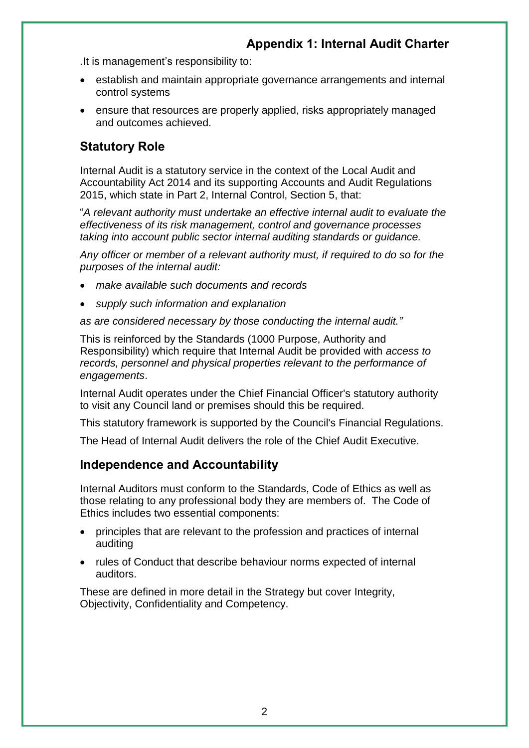.It is management's responsibility to:

- establish and maintain appropriate governance arrangements and internal control systems
- ensure that resources are properly applied, risks appropriately managed and outcomes achieved.

## **Statutory Role**

Internal Audit is a statutory service in the context of the Local Audit and Accountability Act 2014 and its supporting Accounts and Audit Regulations 2015, which state in Part 2, Internal Control, Section 5, that:

"*A relevant authority must undertake an effective internal audit to evaluate the effectiveness of its risk management, control and governance processes taking into account public sector internal auditing standards or guidance.*

*Any officer or member of a relevant authority must, if required to do so for the purposes of the internal audit:*

- *make available such documents and records*
- *supply such information and explanation*

*as are considered necessary by those conducting the internal audit."*

This is reinforced by the Standards (1000 Purpose, Authority and Responsibility) which require that Internal Audit be provided with *access to records, personnel and physical properties relevant to the performance of engagements*.

Internal Audit operates under the Chief Financial Officer's statutory authority to visit any Council land or premises should this be required.

This statutory framework is supported by the Council's Financial Regulations.

The Head of Internal Audit delivers the role of the Chief Audit Executive.

#### **Independence and Accountability**

Internal Auditors must conform to the Standards, Code of Ethics as well as those relating to any professional body they are members of. The Code of Ethics includes two essential components:

- principles that are relevant to the profession and practices of internal auditing
- rules of Conduct that describe behaviour norms expected of internal auditors.

These are defined in more detail in the Strategy but cover Integrity, Objectivity, Confidentiality and Competency.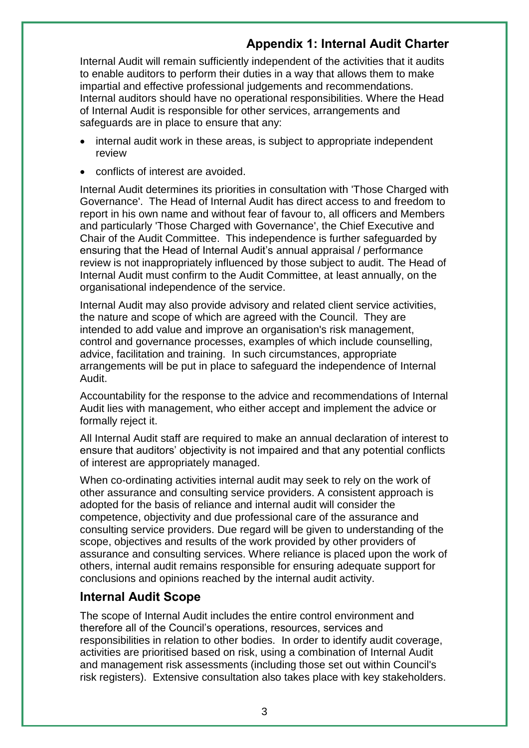Internal Audit will remain sufficiently independent of the activities that it audits to enable auditors to perform their duties in a way that allows them to make impartial and effective professional judgements and recommendations. Internal auditors should have no operational responsibilities. Where the Head of Internal Audit is responsible for other services, arrangements and safeguards are in place to ensure that any:

- internal audit work in these areas, is subject to appropriate independent review
- conflicts of interest are avoided.

Internal Audit determines its priorities in consultation with 'Those Charged with Governance'. The Head of Internal Audit has direct access to and freedom to report in his own name and without fear of favour to, all officers and Members and particularly 'Those Charged with Governance', the Chief Executive and Chair of the Audit Committee. This independence is further safeguarded by ensuring that the Head of Internal Audit's annual appraisal / performance review is not inappropriately influenced by those subject to audit. The Head of Internal Audit must confirm to the Audit Committee, at least annually, on the organisational independence of the service.

Internal Audit may also provide advisory and related client service activities, the nature and scope of which are agreed with the Council. They are intended to add value and improve an organisation's risk management, control and governance processes, examples of which include counselling, advice, facilitation and training. In such circumstances, appropriate arrangements will be put in place to safeguard the independence of Internal Audit.

Accountability for the response to the advice and recommendations of Internal Audit lies with management, who either accept and implement the advice or formally reject it.

All Internal Audit staff are required to make an annual declaration of interest to ensure that auditors' objectivity is not impaired and that any potential conflicts of interest are appropriately managed.

When co-ordinating activities internal audit may seek to rely on the work of other assurance and consulting service providers. A consistent approach is adopted for the basis of reliance and internal audit will consider the competence, objectivity and due professional care of the assurance and consulting service providers. Due regard will be given to understanding of the scope, objectives and results of the work provided by other providers of assurance and consulting services. Where reliance is placed upon the work of others, internal audit remains responsible for ensuring adequate support for conclusions and opinions reached by the internal audit activity.

#### **Internal Audit Scope**

The scope of Internal Audit includes the entire control environment and therefore all of the Council's operations, resources, services and responsibilities in relation to other bodies. In order to identify audit coverage, activities are prioritised based on risk, using a combination of Internal Audit and management risk assessments (including those set out within Council's risk registers). Extensive consultation also takes place with key stakeholders.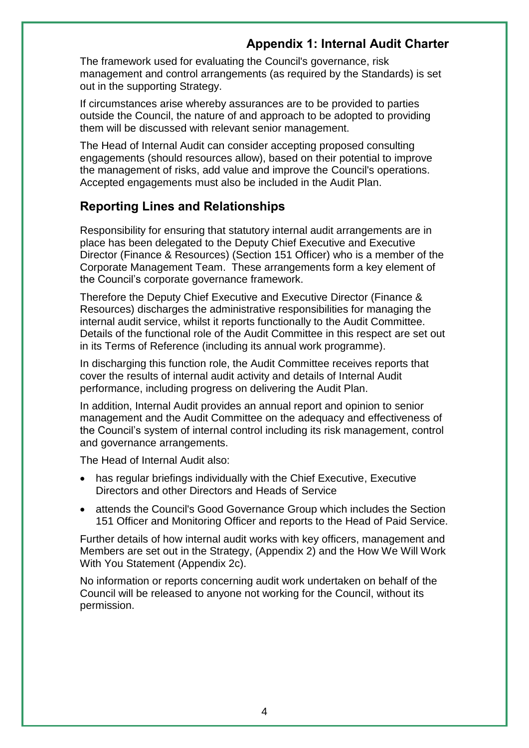The framework used for evaluating the Council's governance, risk management and control arrangements (as required by the Standards) is set out in the supporting Strategy.

If circumstances arise whereby assurances are to be provided to parties outside the Council, the nature of and approach to be adopted to providing them will be discussed with relevant senior management.

The Head of Internal Audit can consider accepting proposed consulting engagements (should resources allow), based on their potential to improve the management of risks, add value and improve the Council's operations. Accepted engagements must also be included in the Audit Plan.

#### **Reporting Lines and Relationships**

Responsibility for ensuring that statutory internal audit arrangements are in place has been delegated to the Deputy Chief Executive and Executive Director (Finance & Resources) (Section 151 Officer) who is a member of the Corporate Management Team. These arrangements form a key element of the Council's corporate governance framework.

Therefore the Deputy Chief Executive and Executive Director (Finance & Resources) discharges the administrative responsibilities for managing the internal audit service, whilst it reports functionally to the Audit Committee. Details of the functional role of the Audit Committee in this respect are set out in its Terms of Reference (including its annual work programme).

In discharging this function role, the Audit Committee receives reports that cover the results of internal audit activity and details of Internal Audit performance, including progress on delivering the Audit Plan.

In addition, Internal Audit provides an annual report and opinion to senior management and the Audit Committee on the adequacy and effectiveness of the Council's system of internal control including its risk management, control and governance arrangements.

The Head of Internal Audit also:

- has regular briefings individually with the Chief Executive, Executive Directors and other Directors and Heads of Service
- attends the Council's Good Governance Group which includes the Section 151 Officer and Monitoring Officer and reports to the Head of Paid Service.

Further details of how internal audit works with key officers, management and Members are set out in the Strategy, (Appendix 2) and the How We Will Work With You Statement (Appendix 2c).

No information or reports concerning audit work undertaken on behalf of the Council will be released to anyone not working for the Council, without its permission.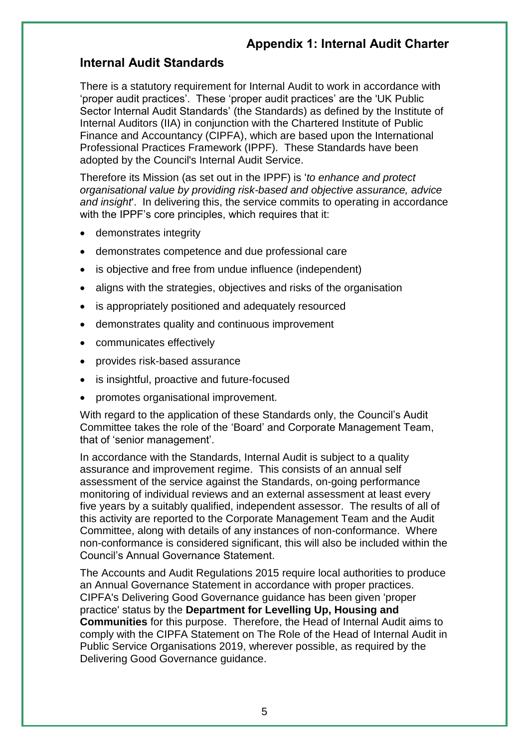## **Internal Audit Standards**

There is a statutory requirement for Internal Audit to work in accordance with 'proper audit practices'. These 'proper audit practices' are the 'UK Public Sector Internal Audit Standards' (the Standards) as defined by the Institute of Internal Auditors (IIA) in conjunction with the Chartered Institute of Public Finance and Accountancy (CIPFA), which are based upon the International Professional Practices Framework (IPPF). These Standards have been adopted by the Council's Internal Audit Service.

Therefore its Mission (as set out in the IPPF) is '*to enhance and protect organisational value by providing risk-based and objective assurance, advice and insight*'. In delivering this, the service commits to operating in accordance with the IPPF's core principles, which requires that it:

- demonstrates integrity
- demonstrates competence and due professional care
- is objective and free from undue influence (independent)
- aligns with the strategies, objectives and risks of the organisation
- is appropriately positioned and adequately resourced
- demonstrates quality and continuous improvement
- communicates effectively
- provides risk-based assurance
- is insightful, proactive and future-focused
- promotes organisational improvement.

With regard to the application of these Standards only, the Council's Audit Committee takes the role of the 'Board' and Corporate Management Team, that of 'senior management'.

In accordance with the Standards, Internal Audit is subject to a quality assurance and improvement regime. This consists of an annual self assessment of the service against the Standards, on-going performance monitoring of individual reviews and an external assessment at least every five years by a suitably qualified, independent assessor. The results of all of this activity are reported to the Corporate Management Team and the Audit Committee, along with details of any instances of non-conformance. Where non-conformance is considered significant, this will also be included within the Council's Annual Governance Statement.

The Accounts and Audit Regulations 2015 require local authorities to produce an Annual Governance Statement in accordance with proper practices. CIPFA's Delivering Good Governance guidance has been given 'proper practice' status by the **Department for Levelling Up, Housing and Communities** for this purpose. Therefore, the Head of Internal Audit aims to comply with the CIPFA Statement on The Role of the Head of Internal Audit in Public Service Organisations 2019, wherever possible, as required by the Delivering Good Governance guidance.